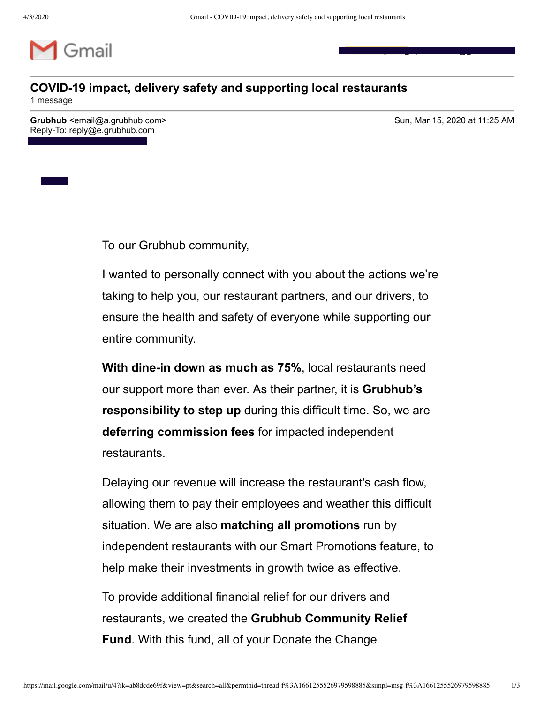

## **COVID-19 impact, delivery safety and supporting local restaurants**

1 message

**Grubhub** <email@a.grubhub.com> Sun, Mar 15, 2020 at 11:25 AM Reply-To: reply@e.grubhub.com

To: guptaeshan2@gmail.com

**Eshan Gupta <guptaeshan2@gmail.com>**



To our Grubhub community,

I wanted to personally connect with you about the actions we're taking to help you, our restaurant partners, and our drivers, to ensure the health and safety of everyone while supporting our entire community.

**With dine-in down as much as 75%**, local restaurants need our support more than ever. As their partner, it is **Grubhub's responsibility to step up** during this difficult time. So, we are **deferring commission fees** for impacted independent restaurants.

Delaying our revenue will increase the restaurant's cash flow, allowing them to pay their employees and weather this difficult situation. We are also **matching all promotions** run by independent restaurants with our Smart Promotions feature, to help make their investments in growth twice as effective.

To provide additional financial relief for our drivers and restaurants, we created the **Grubhub Community Relief Fund**. With this fund, all of your Donate the Change